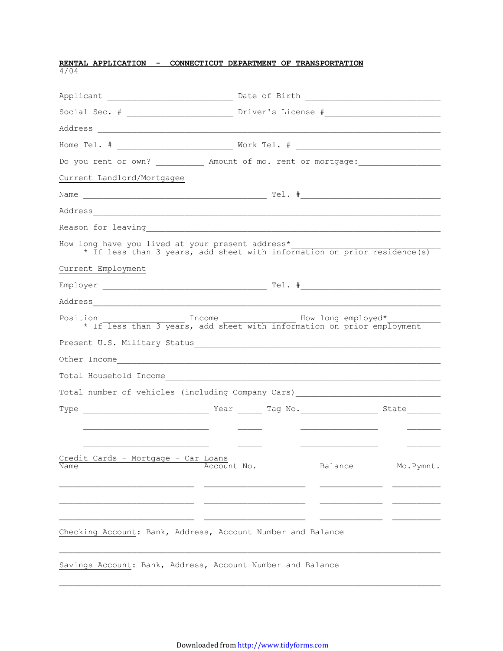| <b>RENTAL APPLICATION - CONNECTICUT DEPARTMENT OF TRANSPORTATION</b>                                                         |             |  |                    |            |
|------------------------------------------------------------------------------------------------------------------------------|-------------|--|--------------------|------------|
|                                                                                                                              |             |  |                    |            |
|                                                                                                                              |             |  |                    |            |
|                                                                                                                              |             |  |                    |            |
|                                                                                                                              |             |  |                    |            |
| Do you rent or own? _____________ Amount of mo. rent or mortgage: _______________                                            |             |  |                    |            |
| Current Landlord/Mortgagee                                                                                                   |             |  |                    |            |
|                                                                                                                              |             |  |                    |            |
|                                                                                                                              |             |  |                    |            |
|                                                                                                                              |             |  |                    |            |
| How long have you lived at your present address*<br>* If less than 3 years, add sheet with information on prior residence(s) |             |  |                    |            |
| Current Employment                                                                                                           |             |  |                    |            |
|                                                                                                                              |             |  |                    |            |
|                                                                                                                              |             |  |                    |            |
| Position<br>* If less than 3 years, add sheet with information on prior employment                                           | Income      |  | How long employed* |            |
| Present U.S. Military Status<br><u>Letter and Constanting</u>                                                                |             |  |                    |            |
|                                                                                                                              |             |  |                    |            |
|                                                                                                                              |             |  |                    |            |
| Total number of vehicles (including Company Cars) ______________________________                                             |             |  |                    |            |
|                                                                                                                              |             |  |                    |            |
|                                                                                                                              |             |  |                    |            |
| Credit Cards - Mortgage - Car Loans<br>Name                                                                                  | Account No. |  | Balance            | Mo. Pymnt. |
|                                                                                                                              |             |  |                    |            |
| Checking Account: Bank, Address, Account Number and Balance                                                                  |             |  |                    |            |
| Savings Account: Bank, Address, Account Number and Balance                                                                   |             |  |                    |            |

 $\mathcal{L}_\text{max}$